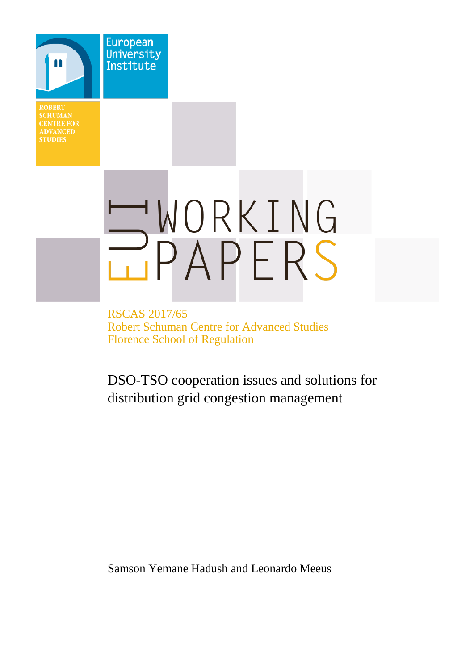**CENTRE FOR ADVANCED STUDIES** 

**European** University Institute

# WORKING

 RSCAS 2017/65 Robert Schuman Centre for Advanced Studies Florence School of Regulation

DSO-TSO cooperation issues and solutions for distribution grid congestion management

Samson Yemane Hadush and Leonardo Meeus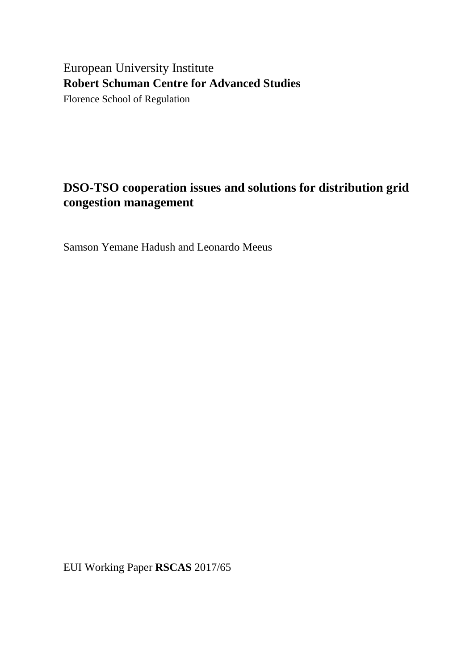# European University Institute **Robert Schuman Centre for Advanced Studies**

Florence School of Regulation

# **DSO-TSO cooperation issues and solutions for distribution grid congestion management**

Samson Yemane Hadush and Leonardo Meeus

EUI Working Paper **RSCAS** 2017/65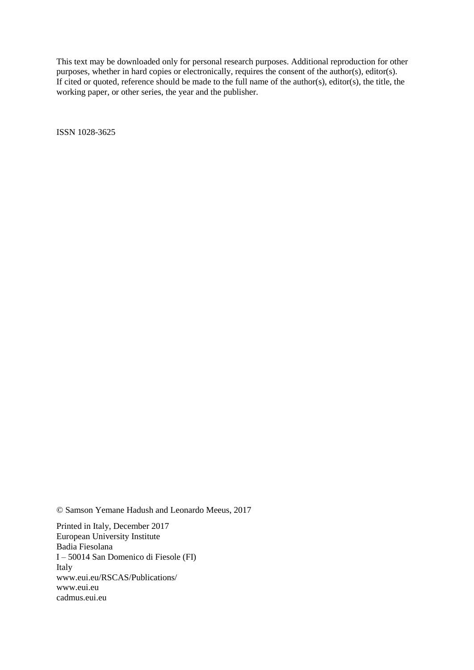This text may be downloaded only for personal research purposes. Additional reproduction for other purposes, whether in hard copies or electronically, requires the consent of the author(s), editor(s). If cited or quoted, reference should be made to the full name of the author(s), editor(s), the title, the working paper, or other series, the year and the publisher.

ISSN 1028-3625

© Samson Yemane Hadush and Leonardo Meeus, 2017

Printed in Italy, December 2017 European University Institute Badia Fiesolana I – 50014 San Domenico di Fiesole (FI) Italy [www.eui.eu/RSCAS/Publications/](http://www.eui.eu/RSCAS/Publications/) [www.eui.eu](http://www.eui.eu/) [cadmus.eui.eu](http://cadmus.eui.eu/dspace/index.jsp)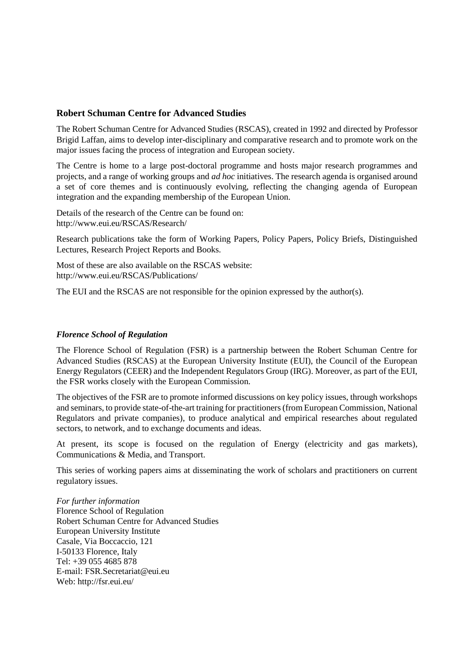#### **Robert Schuman Centre for Advanced Studies**

The Robert Schuman Centre for Advanced Studies (RSCAS), created in 1992 and directed by Professor Brigid Laffan, aims to develop inter-disciplinary and comparative research and to promote work on the major issues facing the process of integration and European society.

The Centre is home to a large post-doctoral programme and hosts major research programmes and projects, and a range of working groups and *ad hoc* initiatives. The research agenda is organised around a set of core themes and is continuously evolving, reflecting the changing agenda of European integration and the expanding membership of the European Union.

Details of the research of the Centre can be found on: http://www.eui.eu/RSCAS/Research/

Research publications take the form of Working Papers, Policy Papers, Policy Briefs, Distinguished Lectures, Research Project Reports and Books.

Most of these are also available on the RSCAS website: http://www.eui.eu/RSCAS/Publications/

The EUI and the RSCAS are not responsible for the opinion expressed by the author(s).

#### *Florence School of Regulation*

The Florence School of Regulation (FSR) is a partnership between the Robert Schuman Centre for Advanced Studies (RSCAS) at the European University Institute (EUI), the Council of the European Energy Regulators (CEER) and the Independent Regulators Group (IRG). Moreover, as part of the EUI, the FSR works closely with the European Commission.

The objectives of the FSR are to promote informed discussions on key policy issues, through workshops and seminars, to provide state-of-the-art training for practitioners (from European Commission, National Regulators and private companies), to produce analytical and empirical researches about regulated sectors, to network, and to exchange documents and ideas.

At present, its scope is focused on the regulation of Energy (electricity and gas markets), Communications & Media, and Transport.

This series of working papers aims at disseminating the work of scholars and practitioners on current regulatory issues.

*For further information* Florence School of Regulation Robert Schuman Centre for Advanced Studies European University Institute Casale, Via Boccaccio, 121 I-50133 Florence, Italy Tel: +39 055 4685 878 E-mail: FSR.Secretariat@eui.eu Web: http://fsr.eui.eu/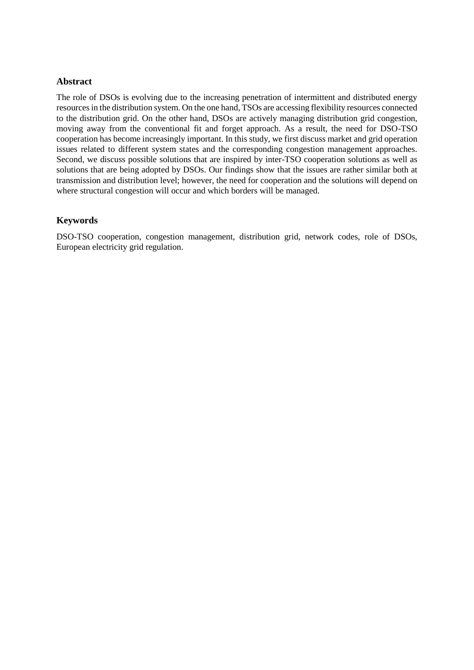#### **Abstract**

The role of DSOs is evolving due to the increasing penetration of intermittent and distributed energy resources in the distribution system. On the one hand, TSOs are accessing flexibility resources connected to the distribution grid. On the other hand, DSOs are actively managing distribution grid congestion, moving away from the conventional fit and forget approach. As a result, the need for DSO-TSO cooperation has become increasingly important. In this study, we first discuss market and grid operation issues related to different system states and the corresponding congestion management approaches. Second, we discuss possible solutions that are inspired by inter-TSO cooperation solutions as well as solutions that are being adopted by DSOs. Our findings show that the issues are rather similar both at transmission and distribution level; however, the need for cooperation and the solutions will depend on where structural congestion will occur and which borders will be managed.

#### **Keywords**

DSO-TSO cooperation, congestion management, distribution grid, network codes, role of DSOs, European electricity grid regulation.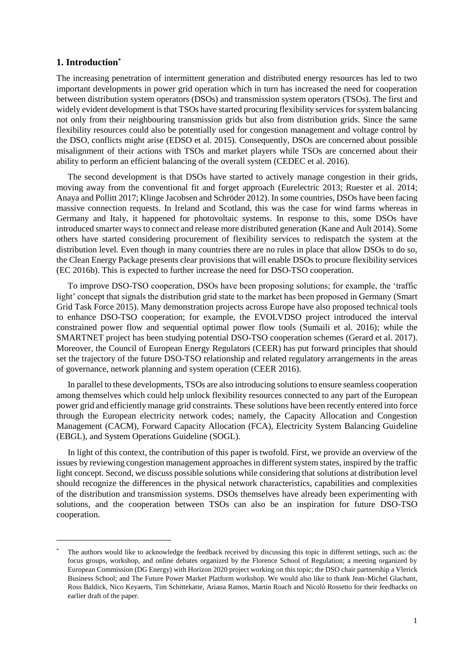#### **1. Introduction\***

 $\overline{\phantom{a}}$ 

The increasing penetration of intermittent generation and distributed energy resources has led to two important developments in power grid operation which in turn has increased the need for cooperation between distribution system operators (DSOs) and transmission system operators (TSOs). The first and widely evident development is that TSOs have started procuring flexibility services for system balancing not only from their neighbouring transmission grids but also from distribution grids. Since the same flexibility resources could also be potentially used for congestion management and voltage control by the DSO, conflicts might arise (EDSO et al. 2015). Consequently, DSOs are concerned about possible misalignment of their actions with TSOs and market players while TSOs are concerned about their ability to perform an efficient balancing of the overall system (CEDEC et al. 2016).

The second development is that DSOs have started to actively manage congestion in their grids, moving away from the conventional fit and forget approach (Eurelectric 2013; Ruester et al. 2014; Anaya and Pollitt 2017; Klinge Jacobsen and Schröder 2012). In some countries, DSOs have been facing massive connection requests. In Ireland and Scotland, this was the case for wind farms whereas in Germany and Italy, it happened for photovoltaic systems. In response to this, some DSOs have introduced smarter ways to connect and release more distributed generation (Kane and Ault 2014). Some others have started considering procurement of flexibility services to redispatch the system at the distribution level. Even though in many countries there are no rules in place that allow DSOs to do so, the Clean Energy Package presents clear provisions that will enable DSOs to procure flexibility services (EC 2016b). This is expected to further increase the need for DSO-TSO cooperation.

To improve DSO-TSO cooperation, DSOs have been proposing solutions; for example, the 'traffic light' concept that signals the distribution grid state to the market has been proposed in Germany (Smart Grid Task Force 2015). Many demonstration projects across Europe have also proposed technical tools to enhance DSO-TSO cooperation; for example, the EVOLVDSO project introduced the interval constrained power flow and sequential optimal power flow tools (Sumaili et al. 2016); while the SMARTNET project has been studying potential DSO-TSO cooperation schemes (Gerard et al. 2017). Moreover, the Council of European Energy Regulators (CEER) has put forward principles that should set the trajectory of the future DSO-TSO relationship and related regulatory arrangements in the areas of governance, network planning and system operation (CEER 2016).

In parallel to these developments, TSOs are also introducing solutions to ensure seamless cooperation among themselves which could help unlock flexibility resources connected to any part of the European power grid and efficiently manage grid constraints. These solutions have been recently entered into force through the European electricity network codes; namely, the Capacity Allocation and Congestion Management (CACM), Forward Capacity Allocation (FCA), Electricity System Balancing Guideline (EBGL), and System Operations Guideline (SOGL).

In light of this context, the contribution of this paper is twofold. First, we provide an overview of the issues by reviewing congestion management approaches in different system states, inspired by the traffic light concept. Second, we discuss possible solutions while considering that solutions at distribution level should recognize the differences in the physical network characteristics, capabilities and complexities of the distribution and transmission systems. DSOs themselves have already been experimenting with solutions, and the cooperation between TSOs can also be an inspiration for future DSO-TSO cooperation.

The authors would like to acknowledge the feedback received by discussing this topic in different settings, such as: the focus groups, workshop, and online debates organized by the Florence School of Regulation; a meeting organized by European Commission (DG Energy) with Horizon 2020 project working on this topic; the DSO chair partnership a Vlerick Business School; and The Future Power Market Platform workshop. We would also like to thank Jean-Michel Glachant, Ross Baldick, Nico Keyaerts, Tim Schittekatte, Ariana Ramos, Martin Roach and Nicolò Rossetto for their feedbacks on earlier draft of the paper.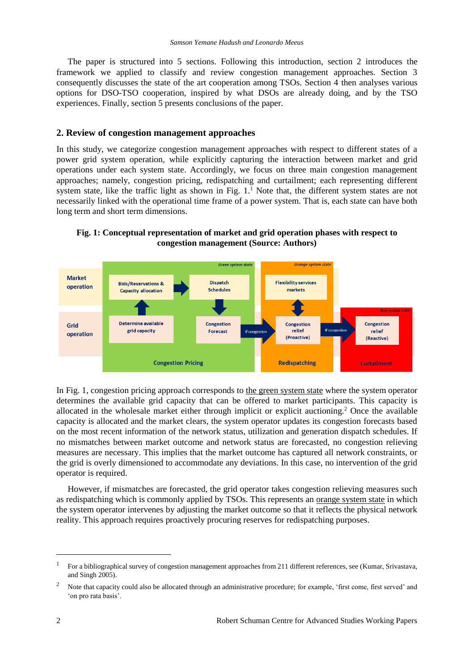The paper is structured into 5 sections. Following this introduction, section 2 introduces the framework we applied to classify and review congestion management approaches. Section 3 consequently discusses the state of the art cooperation among TSOs. Section 4 then analyses various options for DSO-TSO cooperation, inspired by what DSOs are already doing, and by the TSO experiences. Finally, section 5 presents conclusions of the paper.

#### **2. Review of congestion management approaches**

In this study, we categorize congestion management approaches with respect to different states of a power grid system operation, while explicitly capturing the interaction between market and grid operations under each system state. Accordingly, we focus on three main congestion management approaches; namely, congestion pricing, redispatching and curtailment; each representing different system state, like the traffic light as shown in Fig.  $1<sup>1</sup>$  Note that, the different system states are not necessarily linked with the operational time frame of a power system. That is, each state can have both long term and short term dimensions.

#### **Fig. 1: Conceptual representation of market and grid operation phases with respect to congestion management (Source: Authors)**



In Fig. 1, congestion pricing approach corresponds to the green system state where the system operator determines the available grid capacity that can be offered to market participants. This capacity is allocated in the wholesale market either through implicit or explicit auctioning.<sup>2</sup> Once the available capacity is allocated and the market clears, the system operator updates its congestion forecasts based on the most recent information of the network status, utilization and generation dispatch schedules. If no mismatches between market outcome and network status are forecasted, no congestion relieving measures are necessary. This implies that the market outcome has captured all network constraints, or the grid is overly dimensioned to accommodate any deviations. In this case, no intervention of the grid operator is required.

However, if mismatches are forecasted, the grid operator takes congestion relieving measures such as redispatching which is commonly applied by TSOs. This represents an orange system state in which the system operator intervenes by adjusting the market outcome so that it reflects the physical network reality. This approach requires proactively procuring reserves for redispatching purposes.

 $\overline{\phantom{a}}$ 

<sup>1</sup> For a bibliographical survey of congestion management approaches from 211 different references, see (Kumar, Srivastava, and Singh 2005).

<sup>2</sup> Note that capacity could also be allocated through an administrative procedure; for example, 'first come, first served' and 'on pro rata basis'.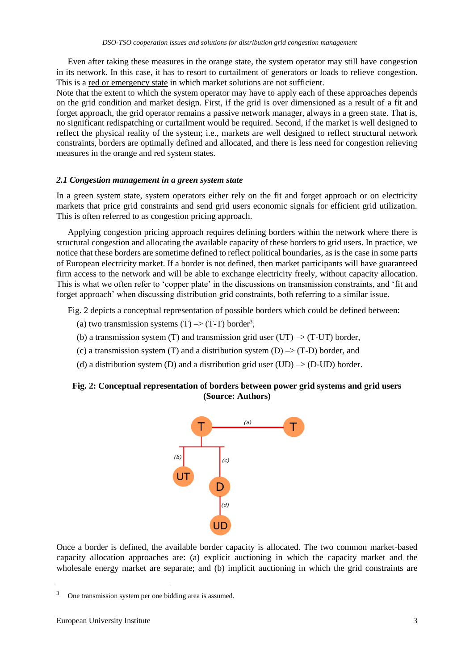Even after taking these measures in the orange state, the system operator may still have congestion in its network. In this case, it has to resort to curtailment of generators or loads to relieve congestion. This is a red or emergency state in which market solutions are not sufficient.

Note that the extent to which the system operator may have to apply each of these approaches depends on the grid condition and market design. First, if the grid is over dimensioned as a result of a fit and forget approach, the grid operator remains a passive network manager, always in a green state. That is, no significant redispatching or curtailment would be required. Second, if the market is well designed to reflect the physical reality of the system; i.e., markets are well designed to reflect structural network constraints, borders are optimally defined and allocated, and there is less need for congestion relieving measures in the orange and red system states.

#### *2.1 Congestion management in a green system state*

In a green system state, system operators either rely on the fit and forget approach or on electricity markets that price grid constraints and send grid users economic signals for efficient grid utilization. This is often referred to as congestion pricing approach.

Applying congestion pricing approach requires defining borders within the network where there is structural congestion and allocating the available capacity of these borders to grid users. In practice, we notice that these borders are sometime defined to reflect political boundaries, as is the case in some parts of European electricity market. If a border is not defined, then market participants will have guaranteed firm access to the network and will be able to exchange electricity freely, without capacity allocation. This is what we often refer to 'copper plate' in the discussions on transmission constraints, and 'fit and forget approach' when discussing distribution grid constraints, both referring to a similar issue.

Fig. 2 depicts a conceptual representation of possible borders which could be defined between:

- (a) two transmission systems  $(T) \rightarrow (T-T)$  border<sup>3</sup>,
- (b) a transmission system (T) and transmission grid user (UT)  $\rightarrow$  (T-UT) border,
- (c) a transmission system (T) and a distribution system  $(D) \rightarrow (T-D)$  border, and
- (d) a distribution system (D) and a distribution grid user (UD)  $\rightarrow$  (D-UD) border.

#### **Fig. 2: Conceptual representation of borders between power grid systems and grid users (Source: Authors)**



Once a border is defined, the available border capacity is allocated. The two common market-based capacity allocation approaches are: (a) explicit auctioning in which the capacity market and the wholesale energy market are separate; and (b) implicit auctioning in which the grid constraints are

<sup>3</sup> One transmission system per one bidding area is assumed.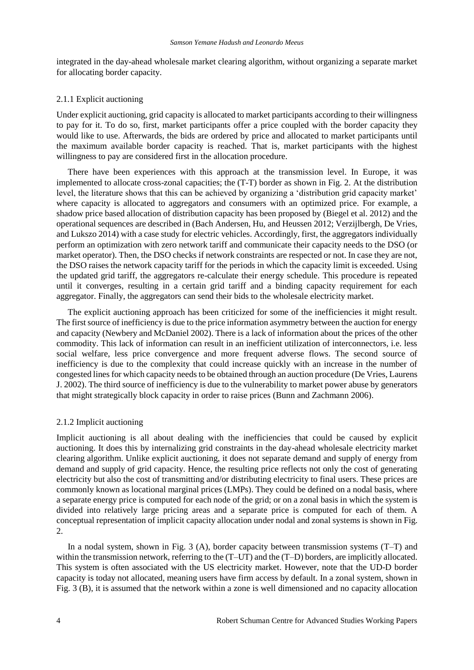integrated in the day-ahead wholesale market clearing algorithm, without organizing a separate market for allocating border capacity.

#### 2.1.1 Explicit auctioning

Under explicit auctioning, grid capacity is allocated to market participants according to their willingness to pay for it. To do so, first, market participants offer a price coupled with the border capacity they would like to use. Afterwards, the bids are ordered by price and allocated to market participants until the maximum available border capacity is reached. That is, market participants with the highest willingness to pay are considered first in the allocation procedure.

There have been experiences with this approach at the transmission level. In Europe, it was implemented to allocate cross-zonal capacities; the (T-T) border as shown in Fig. 2. At the distribution level, the literature shows that this can be achieved by organizing a 'distribution grid capacity market' where capacity is allocated to aggregators and consumers with an optimized price. For example, a shadow price based allocation of distribution capacity has been proposed by (Biegel et al. 2012) and the operational sequences are described in (Bach Andersen, Hu, and Heussen 2012; Verzijlbergh, De Vries, and Lukszo 2014) with a case study for electric vehicles. Accordingly, first, the aggregators individually perform an optimization with zero network tariff and communicate their capacity needs to the DSO (or market operator). Then, the DSO checks if network constraints are respected or not. In case they are not, the DSO raises the network capacity tariff for the periods in which the capacity limit is exceeded. Using the updated grid tariff, the aggregators re-calculate their energy schedule. This procedure is repeated until it converges, resulting in a certain grid tariff and a binding capacity requirement for each aggregator. Finally, the aggregators can send their bids to the wholesale electricity market.

The explicit auctioning approach has been criticized for some of the inefficiencies it might result. The first source of inefficiency is due to the price information asymmetry between the auction for energy and capacity (Newbery and McDaniel 2002). There is a lack of information about the prices of the other commodity. This lack of information can result in an inefficient utilization of interconnectors, i.e. less social welfare, less price convergence and more frequent adverse flows. The second source of inefficiency is due to the complexity that could increase quickly with an increase in the number of congested lines for which capacity needs to be obtained through an auction procedure (De Vries, Laurens J. 2002). The third source of inefficiency is due to the vulnerability to market power abuse by generators that might strategically block capacity in order to raise prices (Bunn and Zachmann 2006).

#### 2.1.2 Implicit auctioning

Implicit auctioning is all about dealing with the inefficiencies that could be caused by explicit auctioning. It does this by internalizing grid constraints in the day-ahead wholesale electricity market clearing algorithm. Unlike explicit auctioning, it does not separate demand and supply of energy from demand and supply of grid capacity. Hence, the resulting price reflects not only the cost of generating electricity but also the cost of transmitting and/or distributing electricity to final users. These prices are commonly known as locational marginal prices (LMPs). They could be defined on a nodal basis, where a separate energy price is computed for each node of the grid; or on a zonal basis in which the system is divided into relatively large pricing areas and a separate price is computed for each of them. A conceptual representation of implicit capacity allocation under nodal and zonal systems is shown in [Fig.](#page-12-0)  2.

In a nodal system, shown in Fig. 3 (A), border capacity between transmission systems  $(T-T)$  and within the transmission network, referring to the  $(T-UT)$  and the  $(T-D)$  borders, are implicitly allocated. This system is often associated with the US electricity market. However, note that the UD-D border capacity is today not allocated, meaning users have firm access by default. In a zonal system, shown in Fig. 3 (B), it is assumed that the network within a zone is well dimensioned and no capacity allocation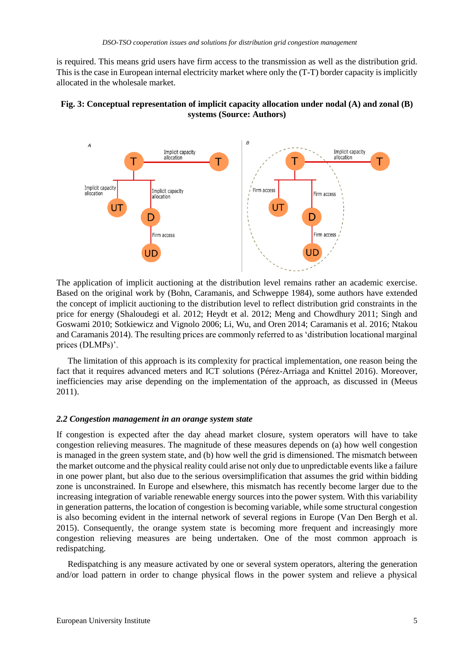is required. This means grid users have firm access to the transmission as well as the distribution grid. This is the case in European internal electricity market where only the (T-T) border capacity is implicitly allocated in the wholesale market.

#### <span id="page-12-0"></span>**Fig. 3: Conceptual representation of implicit capacity allocation under nodal (A) and zonal (B) systems (Source: Authors)**



The application of implicit auctioning at the distribution level remains rather an academic exercise. Based on the original work by (Bohn, Caramanis, and Schweppe 1984), some authors have extended the concept of implicit auctioning to the distribution level to reflect distribution grid constraints in the price for energy (Shaloudegi et al. 2012; Heydt et al. 2012; Meng and Chowdhury 2011; Singh and Goswami 2010; Sotkiewicz and Vignolo 2006; Li, Wu, and Oren 2014; Caramanis et al. 2016; Ntakou and Caramanis 2014). The resulting prices are commonly referred to as 'distribution locational marginal prices (DLMPs)'.

The limitation of this approach is its complexity for practical implementation, one reason being the fact that it requires advanced meters and ICT solutions (Pérez-Arriaga and Knittel 2016). Moreover, inefficiencies may arise depending on the implementation of the approach, as discussed in (Meeus 2011).

#### *2.2 Congestion management in an orange system state*

If congestion is expected after the day ahead market closure, system operators will have to take congestion relieving measures. The magnitude of these measures depends on (a) how well congestion is managed in the green system state, and (b) how well the grid is dimensioned. The mismatch between the market outcome and the physical reality could arise not only due to unpredictable events like a failure in one power plant, but also due to the serious oversimplification that assumes the grid within bidding zone is unconstrained. In Europe and elsewhere, this mismatch has recently become larger due to the increasing integration of variable renewable energy sources into the power system. With this variability in generation patterns, the location of congestion is becoming variable, while some structural congestion is also becoming evident in the internal network of several regions in Europe (Van Den Bergh et al. 2015). Consequently, the orange system state is becoming more frequent and increasingly more congestion relieving measures are being undertaken. One of the most common approach is redispatching.

Redispatching is any measure activated by one or several system operators, altering the generation and/or load pattern in order to change physical flows in the power system and relieve a physical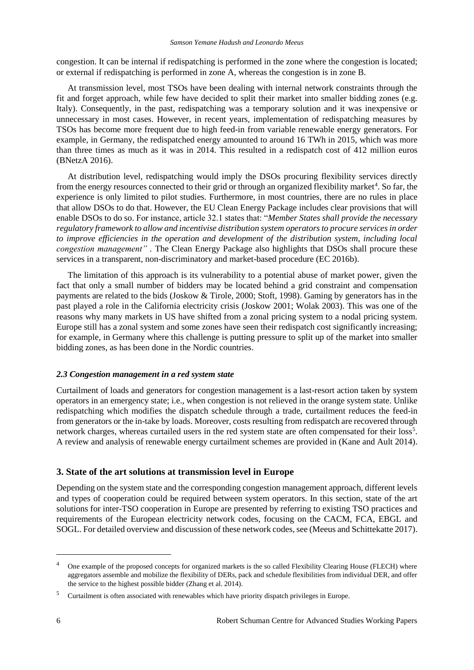congestion. It can be internal if redispatching is performed in the zone where the congestion is located; or external if redispatching is performed in zone A, whereas the congestion is in zone B.

At transmission level, most TSOs have been dealing with internal network constraints through the fit and forget approach, while few have decided to split their market into smaller bidding zones (e.g. Italy). Consequently, in the past, redispatching was a temporary solution and it was inexpensive or unnecessary in most cases. However, in recent years, implementation of redispatching measures by TSOs has become more frequent due to high feed-in from variable renewable energy generators. For example, in Germany, the redispatched energy amounted to around 16 TWh in 2015, which was more than three times as much as it was in 2014. This resulted in a redispatch cost of 412 million euros (BNetzA 2016).

At distribution level, redispatching would imply the DSOs procuring flexibility services directly from the energy resources connected to their grid or through an organized flexibility market<sup>4</sup>. So far, the experience is only limited to pilot studies. Furthermore, in most countries, there are no rules in place that allow DSOs to do that. However, the EU Clean Energy Package includes clear provisions that will enable DSOs to do so. For instance, article 32.1 states that: "*Member States shall provide the necessary regulatory framework to allow and incentivise distribution system operators to procure services in order to improve efficiencies in the operation and development of the distribution system, including local congestion management" .* The Clean Energy Package also highlights that DSOs shall procure these services in a transparent, non-discriminatory and market-based procedure (EC 2016b).

The limitation of this approach is its vulnerability to a potential abuse of market power, given the fact that only a small number of bidders may be located behind a grid constraint and compensation payments are related to the bids (Joskow & Tirole, 2000; Stoft, 1998). Gaming by generators has in the past played a role in the California electricity crisis (Joskow 2001; Wolak 2003). This was one of the reasons why many markets in US have shifted from a zonal pricing system to a nodal pricing system. Europe still has a zonal system and some zones have seen their redispatch cost significantly increasing; for example, in Germany where this challenge is putting pressure to split up of the market into smaller bidding zones, as has been done in the Nordic countries.

#### *2.3 Congestion management in a red system state*

Curtailment of loads and generators for congestion management is a last-resort action taken by system operators in an emergency state; i.e., when congestion is not relieved in the orange system state. Unlike redispatching which modifies the dispatch schedule through a trade, curtailment reduces the feed-in from generators or the in-take by loads. Moreover, costs resulting from redispatch are recovered through network charges, whereas curtailed users in the red system state are often compensated for their loss<sup>5</sup>. A review and analysis of renewable energy curtailment schemes are provided in (Kane and Ault 2014).

# **3. State of the art solutions at transmission level in Europe**

Depending on the system state and the corresponding congestion management approach, different levels and types of cooperation could be required between system operators. In this section, state of the art solutions for inter-TSO cooperation in Europe are presented by referring to existing TSO practices and requirements of the European electricity network codes, focusing on the CACM, FCA, EBGL and SOGL. For detailed overview and discussion of these network codes, see (Meeus and Schittekatte 2017).

 $\overline{\phantom{a}}$ 

<sup>&</sup>lt;sup>4</sup> One example of the proposed concepts for organized markets is the so called Flexibility Clearing House (FLECH) where aggregators assemble and mobilize the flexibility of DERs, pack and schedule flexibilities from individual DER, and offer the service to the highest possible bidder (Zhang et al. 2014).

<sup>5</sup> Curtailment is often associated with renewables which have priority dispatch privileges in Europe.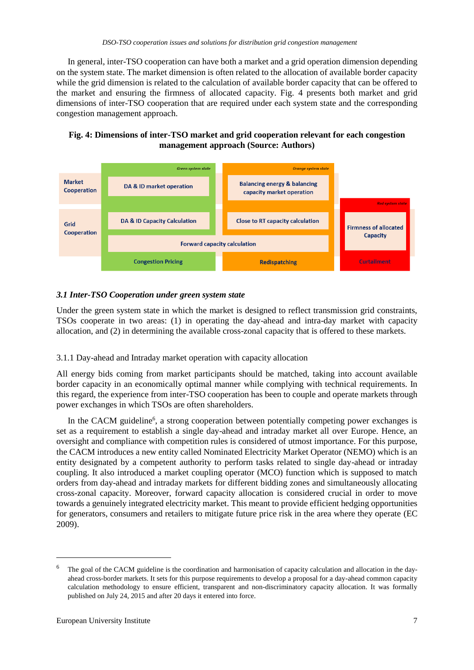In general, inter-TSO cooperation can have both a market and a grid operation dimension depending on the system state. The market dimension is often related to the allocation of available border capacity while the grid dimension is related to the calculation of available border capacity that can be offered to the market and ensuring the firmness of allocated capacity. Fig. 4 presents both market and grid dimensions of inter-TSO cooperation that are required under each system state and the corresponding congestion management approach.

#### **Fig. 4: Dimensions of inter-TSO market and grid cooperation relevant for each congestion management approach (Source: Authors)**



#### *3.1 Inter-TSO Cooperation under green system state*

Under the green system state in which the market is designed to reflect transmission grid constraints, TSOs cooperate in two areas: (1) in operating the day-ahead and intra-day market with capacity allocation, and (2) in determining the available cross-zonal capacity that is offered to these markets.

#### 3.1.1 Day-ahead and Intraday market operation with capacity allocation

All energy bids coming from market participants should be matched, taking into account available border capacity in an economically optimal manner while complying with technical requirements. In this regard, the experience from inter-TSO cooperation has been to couple and operate markets through power exchanges in which TSOs are often shareholders.

In the CACM guideline<sup>6</sup>, a strong cooperation between potentially competing power exchanges is set as a requirement to establish a single day-ahead and intraday market all over Europe. Hence, an oversight and compliance with competition rules is considered of utmost importance. For this purpose, the CACM introduces a new entity called Nominated Electricity Market Operator (NEMO) which is an entity designated by a competent authority to perform tasks related to single day-ahead or intraday coupling. It also introduced a market coupling operator (MCO) function which is supposed to match orders from day-ahead and intraday markets for different bidding zones and simultaneously allocating cross-zonal capacity. Moreover, forward capacity allocation is considered crucial in order to move towards a genuinely integrated electricity market. This meant to provide efficient hedging opportunities for generators, consumers and retailers to mitigate future price risk in the area where they operate (EC 2009).

The goal of the CACM guideline is the coordination and harmonisation of capacity calculation and allocation in the dayahead cross-border markets. It sets for this purpose requirements to develop a proposal for a day-ahead common capacity calculation methodology to ensure efficient, transparent and non-discriminatory capacity allocation. It was formally published on July 24, 2015 and after 20 days it entered into force.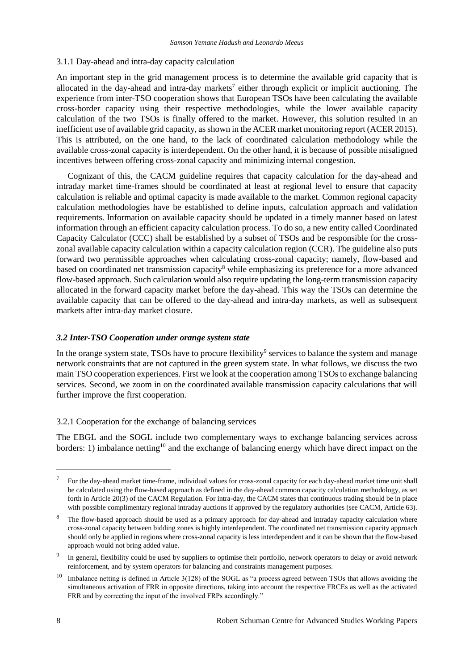## 3.1.1 Day-ahead and intra-day capacity calculation

An important step in the grid management process is to determine the available grid capacity that is allocated in the day-ahead and intra-day markets<sup>7</sup> either through explicit or implicit auctioning. The experience from inter-TSO cooperation shows that European TSOs have been calculating the available cross-border capacity using their respective methodologies, while the lower available capacity calculation of the two TSOs is finally offered to the market. However, this solution resulted in an inefficient use of available grid capacity, as shown in the ACER market monitoring report (ACER 2015). This is attributed, on the one hand, to the lack of coordinated calculation methodology while the available cross-zonal capacity is interdependent. On the other hand, it is because of possible misaligned incentives between offering cross-zonal capacity and minimizing internal congestion.

Cognizant of this, the CACM guideline requires that capacity calculation for the day-ahead and intraday market time-frames should be coordinated at least at regional level to ensure that capacity calculation is reliable and optimal capacity is made available to the market. Common regional capacity calculation methodologies have be established to define inputs, calculation approach and validation requirements. Information on available capacity should be updated in a timely manner based on latest information through an efficient capacity calculation process. To do so, a new entity called Coordinated Capacity Calculator (CCC) shall be established by a subset of TSOs and be responsible for the crosszonal available capacity calculation within a capacity calculation region (CCR). The guideline also puts forward two permissible approaches when calculating cross-zonal capacity; namely, flow-based and based on coordinated net transmission capacity<sup>8</sup> while emphasizing its preference for a more advanced flow-based approach. Such calculation would also require updating the long-term transmission capacity allocated in the forward capacity market before the day-ahead. This way the TSOs can determine the available capacity that can be offered to the day-ahead and intra-day markets, as well as subsequent markets after intra-day market closure.

#### *3.2 Inter-TSO Cooperation under orange system state*

In the orange system state, TSOs have to procure flexibility<sup>9</sup> services to balance the system and manage network constraints that are not captured in the green system state. In what follows, we discuss the two main TSO cooperation experiences. First we look at the cooperation among TSOs to exchange balancing services. Second, we zoom in on the coordinated available transmission capacity calculations that will further improve the first cooperation.

#### <span id="page-15-0"></span>3.2.1 Cooperation for the exchange of balancing services

The EBGL and the SOGL include two complementary ways to exchange balancing services across borders: 1) imbalance netting<sup>10</sup> and the exchange of balancing energy which have direct impact on the

<sup>7</sup> For the day-ahead market time-frame, individual values for cross-zonal capacity for each day-ahead market time unit shall be calculated using the flow-based approach as defined in the day-ahead common capacity calculation methodology, as set forth in Article 20(3) of the CACM Regulation. For intra-day, the CACM states that continuous trading should be in place with possible complimentary regional intraday auctions if approved by the regulatory authorities (see CACM, Article 63).

<sup>&</sup>lt;sup>8</sup> The flow-based approach should be used as a primary approach for day-ahead and intraday capacity calculation where cross-zonal capacity between bidding zones is highly interdependent. The coordinated net transmission capacity approach should only be applied in regions where cross-zonal capacity is less interdependent and it can be shown that the flow-based approach would not bring added value.

<sup>9</sup> In general, flexibility could be used by suppliers to optimise their portfolio, network operators to delay or avoid network reinforcement, and by system operators for balancing and constraints management purposes.

<sup>&</sup>lt;sup>10</sup> Imbalance netting is defined in Article  $3(128)$  of the SOGL as "a process agreed between TSOs that allows avoiding the simultaneous activation of FRR in opposite directions, taking into account the respective FRCEs as well as the activated FRR and by correcting the input of the involved FRPs accordingly."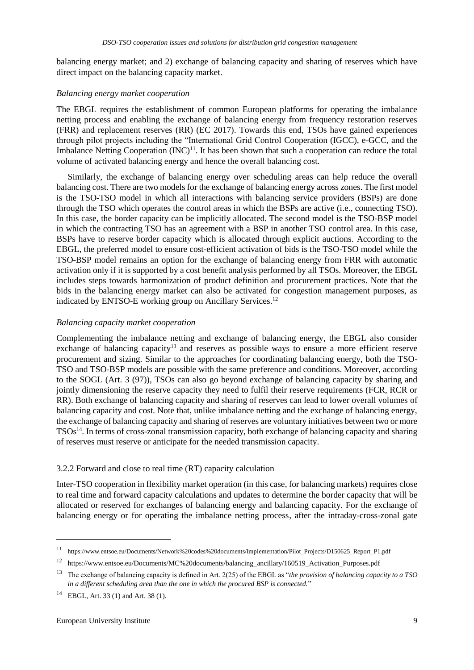balancing energy market; and 2) exchange of balancing capacity and sharing of reserves which have direct impact on the balancing capacity market.

#### *Balancing energy market cooperation*

The EBGL requires the establishment of common European platforms for operating the imbalance netting process and enabling the exchange of balancing energy from frequency restoration reserves (FRR) and replacement reserves (RR) (EC 2017). Towards this end, TSOs have gained experiences through pilot projects including the "International Grid Control Cooperation (IGCC), e-GCC, and the Imbalance Netting Cooperation  $(INC)^{11}$ . It has been shown that such a cooperation can reduce the total volume of activated balancing energy and hence the overall balancing cost.

Similarly, the exchange of balancing energy over scheduling areas can help reduce the overall balancing cost. There are two models for the exchange of balancing energy across zones. The first model is the TSO-TSO model in which all interactions with balancing service providers (BSPs) are done through the TSO which operates the control areas in which the BSPs are active (i.e., connecting TSO). In this case, the border capacity can be implicitly allocated. The second model is the TSO-BSP model in which the contracting TSO has an agreement with a BSP in another TSO control area. In this case, BSPs have to reserve border capacity which is allocated through explicit auctions. According to the EBGL, the preferred model to ensure cost-efficient activation of bids is the TSO-TSO model while the TSO-BSP model remains an option for the exchange of balancing energy from FRR with automatic activation only if it is supported by a cost benefit analysis performed by all TSOs. Moreover, the EBGL includes steps towards harmonization of product definition and procurement practices. Note that the bids in the balancing energy market can also be activated for congestion management purposes, as indicated by ENTSO-E working group on Ancillary Services.<sup>12</sup>

# *Balancing capacity market cooperation*

Complementing the imbalance netting and exchange of balancing energy, the EBGL also consider exchange of balancing capacity<sup>13</sup> and reserves as possible ways to ensure a more efficient reserve procurement and sizing. Similar to the approaches for coordinating balancing energy, both the TSO-TSO and TSO-BSP models are possible with the same preference and conditions. Moreover, according to the SOGL (Art. 3 (97)), TSOs can also go beyond exchange of balancing capacity by sharing and jointly dimensioning the reserve capacity they need to fulfil their reserve requirements (FCR, RCR or RR). Both exchange of balancing capacity and sharing of reserves can lead to lower overall volumes of balancing capacity and cost. Note that, unlike imbalance netting and the exchange of balancing energy, the exchange of balancing capacity and sharing of reserves are voluntary initiatives between two or more TSOs<sup>14</sup>. In terms of cross-zonal transmission capacity, both exchange of balancing capacity and sharing of reserves must reserve or anticipate for the needed transmission capacity.

#### 3.2.2 Forward and close to real time (RT) capacity calculation

Inter-TSO cooperation in flexibility market operation (in this case, for balancing markets) requires close to real time and forward capacity calculations and updates to determine the border capacity that will be allocated or reserved for exchanges of balancing energy and balancing capacity. For the exchange of balancing energy or for operating the imbalance netting process, after the intraday-cross-zonal gate

<sup>11</sup> https://www.entsoe.eu/Documents/Network%20codes%20documents/Implementation/Pilot\_Projects/D150625\_Report\_P1.pdf

<sup>12</sup> https://www.entsoe.eu/Documents/MC%20documents/balancing\_ancillary/160519\_Activation\_Purposes.pdf

<sup>13</sup> The exchange of balancing capacity is defined in Art. 2(25) of the EBGL as "*the provision of balancing capacity to a TSO in a different scheduling area than the one in which the procured BSP is connected.*"

<sup>14</sup> EBGL, Art. 33 (1) and Art. 38 (1).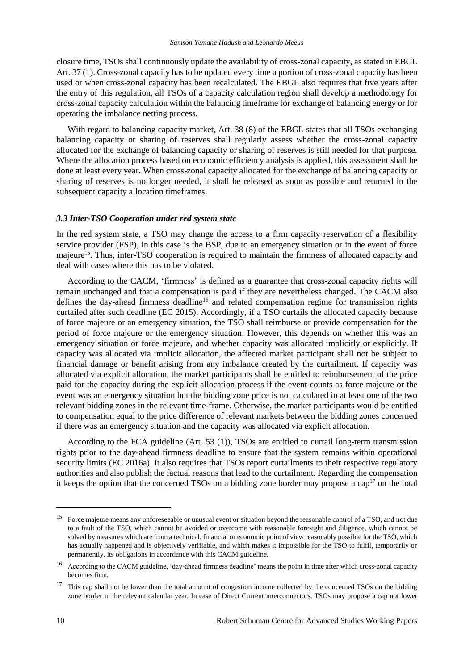closure time, TSOs shall continuously update the availability of cross-zonal capacity, as stated in EBGL Art. 37 (1). Cross-zonal capacity has to be updated every time a portion of cross-zonal capacity has been used or when cross-zonal capacity has been recalculated. The EBGL also requires that five years after the entry of this regulation, all TSOs of a capacity calculation region shall develop a methodology for cross-zonal capacity calculation within the balancing timeframe for exchange of balancing energy or for operating the imbalance netting process.

With regard to balancing capacity market, Art. 38 (8) of the EBGL states that all TSOs exchanging balancing capacity or sharing of reserves shall regularly assess whether the cross-zonal capacity allocated for the exchange of balancing capacity or sharing of reserves is still needed for that purpose. Where the allocation process based on economic efficiency analysis is applied, this assessment shall be done at least every year. When cross-zonal capacity allocated for the exchange of balancing capacity or sharing of reserves is no longer needed, it shall be released as soon as possible and returned in the subsequent capacity allocation timeframes.

#### *3.3 Inter-TSO Cooperation under red system state*

In the red system state, a TSO may change the access to a firm capacity reservation of a flexibility service provider (FSP), in this case is the BSP, due to an emergency situation or in the event of force majeure<sup>15</sup>. Thus, inter-TSO cooperation is required to maintain the firmness of allocated capacity and deal with cases where this has to be violated.

According to the CACM, 'firmness' is defined as a guarantee that cross-zonal capacity rights will remain unchanged and that a compensation is paid if they are nevertheless changed. The CACM also defines the day-ahead firmness deadline<sup>16</sup> and related compensation regime for transmission rights curtailed after such deadline (EC 2015). Accordingly, if a TSO curtails the allocated capacity because of force majeure or an emergency situation, the TSO shall reimburse or provide compensation for the period of force majeure or the emergency situation. However, this depends on whether this was an emergency situation or force majeure, and whether capacity was allocated implicitly or explicitly. If capacity was allocated via implicit allocation, the affected market participant shall not be subject to financial damage or benefit arising from any imbalance created by the curtailment. If capacity was allocated via explicit allocation, the market participants shall be entitled to reimbursement of the price paid for the capacity during the explicit allocation process if the event counts as force majeure or the event was an emergency situation but the bidding zone price is not calculated in at least one of the two relevant bidding zones in the relevant time-frame. Otherwise, the market participants would be entitled to compensation equal to the price difference of relevant markets between the bidding zones concerned if there was an emergency situation and the capacity was allocated via explicit allocation.

According to the FCA guideline (Art. 53 (1)), TSOs are entitled to curtail long-term transmission rights prior to the day-ahead firmness deadline to ensure that the system remains within operational security limits (EC 2016a). It also requires that TSOs report curtailments to their respective regulatory authorities and also publish the factual reasons that lead to the curtailment. Regarding the compensation it keeps the option that the concerned TSOs on a bidding zone border may propose a  $cap<sup>17</sup>$  on the total

<sup>&</sup>lt;sup>15</sup> Force majeure means any unforeseeable or unusual event or situation beyond the reasonable control of a TSO, and not due to a fault of the TSO, which cannot be avoided or overcome with reasonable foresight and diligence, which cannot be solved by measures which are from a technical, financial or economic point of view reasonably possible for the TSO, which has actually happened and is objectively verifiable, and which makes it impossible for the TSO to fulfil, temporarily or permanently, its obligations in accordance with this CACM guideline.

<sup>16</sup> According to the CACM guideline, 'day-ahead firmness deadline' means the point in time after which cross-zonal capacity becomes firm.

<sup>&</sup>lt;sup>17</sup> This cap shall not be lower than the total amount of congestion income collected by the concerned TSOs on the bidding zone border in the relevant calendar year. In case of Direct Current interconnectors, TSOs may propose a cap not lower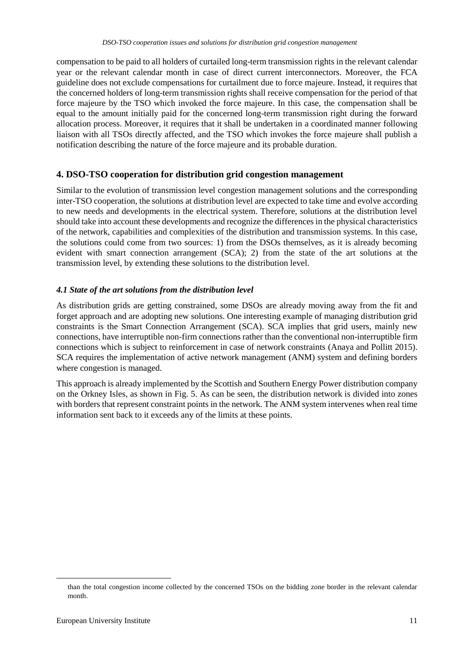compensation to be paid to all holders of curtailed long-term transmission rights in the relevant calendar year or the relevant calendar month in case of direct current interconnectors. Moreover, the FCA guideline does not exclude compensations for curtailment due to force majeure. Instead, it requires that the concerned holders of long-term transmission rights shall receive compensation for the period of that force majeure by the TSO which invoked the force majeure. In this case, the compensation shall be equal to the amount initially paid for the concerned long-term transmission right during the forward allocation process. Moreover, it requires that it shall be undertaken in a coordinated manner following liaison with all TSOs directly affected, and the TSO which invokes the force majeure shall publish a notification describing the nature of the force majeure and its probable duration.

# **4. DSO-TSO cooperation for distribution grid congestion management**

Similar to the evolution of transmission level congestion management solutions and the corresponding inter-TSO cooperation, the solutions at distribution level are expected to take time and evolve according to new needs and developments in the electrical system. Therefore, solutions at the distribution level should take into account these developments and recognize the differences in the physical characteristics of the network, capabilities and complexities of the distribution and transmission systems. In this case, the solutions could come from two sources: 1) from the DSOs themselves, as it is already becoming evident with smart connection arrangement (SCA); 2) from the state of the art solutions at the transmission level, by extending these solutions to the distribution level.

#### *4.1 State of the art solutions from the distribution level*

As distribution grids are getting constrained, some DSOs are already moving away from the fit and forget approach and are adopting new solutions. One interesting example of managing distribution grid constraints is the Smart Connection Arrangement (SCA). SCA implies that grid users, mainly new connections, have interruptible non-firm connections rather than the conventional non-interruptible firm connections which is subject to reinforcement in case of network constraints (Anaya and Pollitt 2015). SCA requires the implementation of active network management (ANM) system and defining borders where congestion is managed.

This approach is already implemented by the Scottish and Southern Energy Power distribution company on the Orkney Isles, as shown in Fig. 5. As can be seen, the distribution network is divided into zones with borders that represent constraint points in the network. The ANM system intervenes when real time information sent back to it exceeds any of the limits at these points.

than the total congestion income collected by the concerned TSOs on the bidding zone border in the relevant calendar month.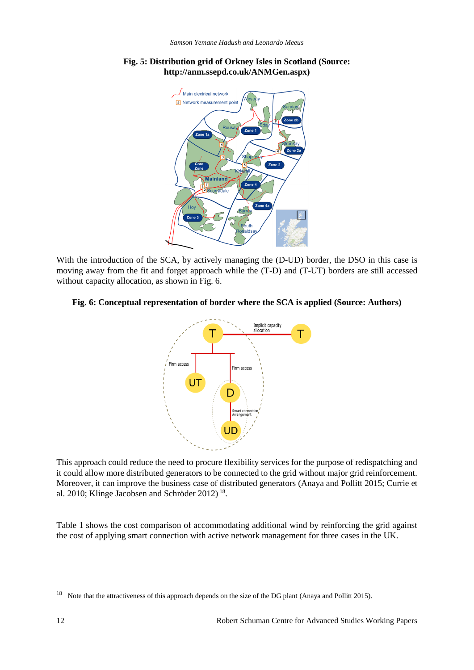

## **Fig. 5: Distribution grid of Orkney Isles in Scotland (Source: http://anm.ssepd.co.uk/ANMGen.aspx)**

With the introduction of the SCA, by actively managing the (D-UD) border, the DSO in this case is moving away from the fit and forget approach while the (T-D) and (T-UT) borders are still accessed without capacity allocation, as shown in Fig. 6.

#### **Fig. 6: Conceptual representation of border where the SCA is applied (Source: Authors)**

<span id="page-19-0"></span>

This approach could reduce the need to procure flexibility services for the purpose of redispatching and it could allow more distributed generators to be connected to the grid without major grid reinforcement. Moreover, it can improve the business case of distributed generators (Anaya and Pollitt 2015; Currie et al.2010; Klinge Jacobsen and Schröder  $2012$ <sup>18</sup>.

[Table 1](#page-19-0) shows the cost comparison of accommodating additional wind by reinforcing the grid against the cost of applying smart connection with active network management for three cases in the UK.

<sup>&</sup>lt;sup>18</sup> Note that the attractiveness of this approach depends on the size of the DG plant (Anaya and Pollitt 2015).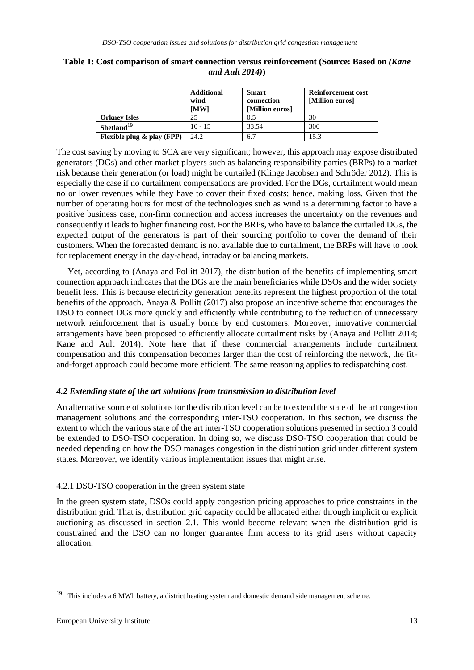#### **Table 1: Cost comparison of smart connection versus reinforcement (Source: Based on** *(Kane and Ault 2014)***)**

|                               | <b>Additional</b><br>wind<br><b>IMWI</b> | <b>Smart</b><br>connection<br>[Million euros] | <b>Reinforcement cost</b><br>[Million euros] |
|-------------------------------|------------------------------------------|-----------------------------------------------|----------------------------------------------|
| <b>Orkney Isles</b>           | 25                                       | 0.5                                           | 30                                           |
| Shetland $19$                 | $10 - 15$                                | 33.54                                         | 300                                          |
| Flexible plug $\&$ play (FPP) | 24.2                                     | 6.7                                           | 15.3                                         |

The cost saving by moving to SCA are very significant; however, this approach may expose distributed generators (DGs) and other market players such as balancing responsibility parties (BRPs) to a market risk because their generation (or load) might be curtailed (Klinge Jacobsen and Schröder 2012). This is especially the case if no curtailment compensations are provided. For the DGs, curtailment would mean no or lower revenues while they have to cover their fixed costs; hence, making loss. Given that the number of operating hours for most of the technologies such as wind is a determining factor to have a positive business case, non-firm connection and access increases the uncertainty on the revenues and consequently it leads to higher financing cost. For the BRPs, who have to balance the curtailed DGs, the expected output of the generators is part of their sourcing portfolio to cover the demand of their customers. When the forecasted demand is not available due to curtailment, the BRPs will have to look for replacement energy in the day-ahead, intraday or balancing markets.

Yet, according to (Anaya and Pollitt 2017), the distribution of the benefits of implementing smart connection approach indicates that the DGs are the main beneficiaries while DSOs and the wider society benefit less. This is because electricity generation benefits represent the highest proportion of the total benefits of the approach. Anaya & Pollitt (2017) also propose an incentive scheme that encourages the DSO to connect DGs more quickly and efficiently while contributing to the reduction of unnecessary network reinforcement that is usually borne by end customers. Moreover, innovative commercial arrangements have been proposed to efficiently allocate curtailment risks by (Anaya and Pollitt 2014; Kane and Ault 2014). Note here that if these commercial arrangements include curtailment compensation and this compensation becomes larger than the cost of reinforcing the network, the fitand-forget approach could become more efficient. The same reasoning applies to redispatching cost.

# *4.2 Extending state of the art solutions from transmission to distribution level*

An alternative source of solutions for the distribution level can be to extend the state of the art congestion management solutions and the corresponding inter-TSO cooperation. In this section, we discuss the extent to which the various state of the art inter-TSO cooperation solutions presented in section 3 could be extended to DSO-TSO cooperation. In doing so, we discuss DSO-TSO cooperation that could be needed depending on how the DSO manages congestion in the distribution grid under different system states. Moreover, we identify various implementation issues that might arise.

#### 4.2.1 DSO-TSO cooperation in the green system state

In the green system state, DSOs could apply congestion pricing approaches to price constraints in the distribution grid. That is, distribution grid capacity could be allocated either through implicit or explicit auctioning as discussed in section 2.1. This would become relevant when the distribution grid is constrained and the DSO can no longer guarantee firm access to its grid users without capacity allocation.

<sup>&</sup>lt;sup>19</sup> This includes a 6 MWh battery, a district heating system and domestic demand side management scheme.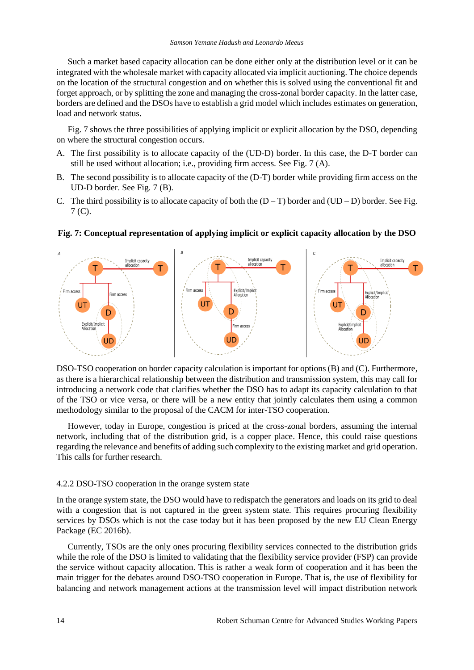Such a market based capacity allocation can be done either only at the distribution level or it can be integrated with the wholesale market with capacity allocated via implicit auctioning. The choice depends on the location of the structural congestion and on whether this is solved using the conventional fit and forget approach, or by splitting the zone and managing the cross-zonal border capacity. In the latter case, borders are defined and the DSOs have to establish a grid model which includes estimates on generation, load and network status.

Fig. 7 shows the three possibilities of applying implicit or explicit allocation by the DSO, depending on where the structural congestion occurs.

- A. The first possibility is to allocate capacity of the (UD-D) border. In this case, the D-T border can still be used without allocation; i.e., providing firm access. See Fig. 7 (A).
- B. The second possibility is to allocate capacity of the (D-T) border while providing firm access on the UD-D border. See Fig. 7 (B).
- C. The third possibility is to allocate capacity of both the  $(D-T)$  border and  $(UD D)$  border. See Fig. 7 (C).



#### **Fig. 7: Conceptual representation of applying implicit or explicit capacity allocation by the DSO**

DSO-TSO cooperation on border capacity calculation is important for options (B) and (C). Furthermore, as there is a hierarchical relationship between the distribution and transmission system, this may call for introducing a network code that clarifies whether the DSO has to adapt its capacity calculation to that of the TSO or vice versa, or there will be a new entity that jointly calculates them using a common methodology similar to the proposal of the CACM for inter-TSO cooperation.

However, today in Europe, congestion is priced at the cross-zonal borders, assuming the internal network, including that of the distribution grid, is a copper place. Hence, this could raise questions regarding the relevance and benefits of adding such complexity to the existing market and grid operation. This calls for further research.

#### 4.2.2 DSO-TSO cooperation in the orange system state

In the orange system state, the DSO would have to redispatch the generators and loads on its grid to deal with a congestion that is not captured in the green system state. This requires procuring flexibility services by DSOs which is not the case today but it has been proposed by the new EU Clean Energy Package (EC 2016b).

Currently, TSOs are the only ones procuring flexibility services connected to the distribution grids while the role of the DSO is limited to validating that the flexibility service provider (FSP) can provide the service without capacity allocation. This is rather a weak form of cooperation and it has been the main trigger for the debates around DSO-TSO cooperation in Europe. That is, the use of flexibility for balancing and network management actions at the transmission level will impact distribution network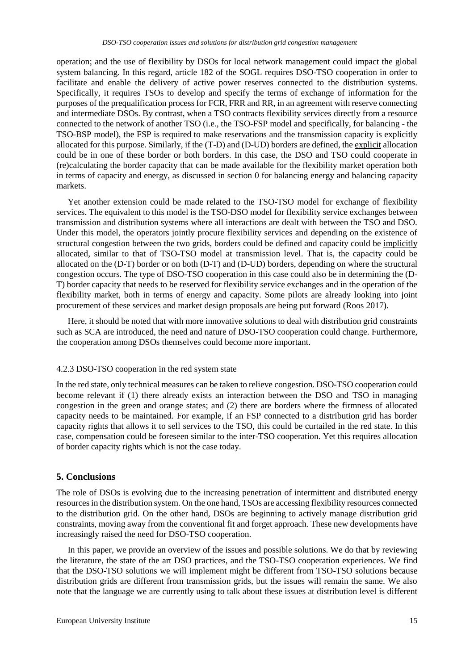operation; and the use of flexibility by DSOs for local network management could impact the global system balancing. In this regard, article 182 of the SOGL requires DSO-TSO cooperation in order to facilitate and enable the delivery of active power reserves connected to the distribution systems. Specifically, it requires TSOs to develop and specify the terms of exchange of information for the purposes of the prequalification process for FCR, FRR and RR, in an agreement with reserve connecting and intermediate DSOs. By contrast, when a TSO contracts flexibility services directly from a resource connected to the network of another TSO (i.e., the TSO-FSP model and specifically, for balancing - the TSO-BSP model), the FSP is required to make reservations and the transmission capacity is explicitly allocated for this purpose. Similarly, if the (T-D) and (D-UD) borders are defined, the explicit allocation could be in one of these border or both borders. In this case, the DSO and TSO could cooperate in (re)calculating the border capacity that can be made available for the flexibility market operation both in terms of capacity and energy, as discussed in section [0](#page-15-0) for balancing energy and balancing capacity markets.

Yet another extension could be made related to the TSO-TSO model for exchange of flexibility services. The equivalent to this model is the TSO-DSO model for flexibility service exchanges between transmission and distribution systems where all interactions are dealt with between the TSO and DSO. Under this model, the operators jointly procure flexibility services and depending on the existence of structural congestion between the two grids, borders could be defined and capacity could be implicitly allocated, similar to that of TSO-TSO model at transmission level. That is, the capacity could be allocated on the (D-T) border or on both (D-T) and (D-UD) borders, depending on where the structural congestion occurs. The type of DSO-TSO cooperation in this case could also be in determining the (D-T) border capacity that needs to be reserved for flexibility service exchanges and in the operation of the flexibility market, both in terms of energy and capacity. Some pilots are already looking into joint procurement of these services and market design proposals are being put forward (Roos 2017).

Here, it should be noted that with more innovative solutions to deal with distribution grid constraints such as SCA are introduced, the need and nature of DSO-TSO cooperation could change. Furthermore, the cooperation among DSOs themselves could become more important.

#### 4.2.3 DSO-TSO cooperation in the red system state

In the red state, only technical measures can be taken to relieve congestion. DSO-TSO cooperation could become relevant if (1) there already exists an interaction between the DSO and TSO in managing congestion in the green and orange states; and (2) there are borders where the firmness of allocated capacity needs to be maintained. For example, if an FSP connected to a distribution grid has border capacity rights that allows it to sell services to the TSO, this could be curtailed in the red state. In this case, compensation could be foreseen similar to the inter-TSO cooperation. Yet this requires allocation of border capacity rights which is not the case today.

#### **5. Conclusions**

The role of DSOs is evolving due to the increasing penetration of intermittent and distributed energy resourcesin the distribution system. On the one hand, TSOs are accessing flexibility resources connected to the distribution grid. On the other hand, DSOs are beginning to actively manage distribution grid constraints, moving away from the conventional fit and forget approach. These new developments have increasingly raised the need for DSO-TSO cooperation.

In this paper, we provide an overview of the issues and possible solutions. We do that by reviewing the literature, the state of the art DSO practices, and the TSO-TSO cooperation experiences. We find that the DSO-TSO solutions we will implement might be different from TSO-TSO solutions because distribution grids are different from transmission grids, but the issues will remain the same. We also note that the language we are currently using to talk about these issues at distribution level is different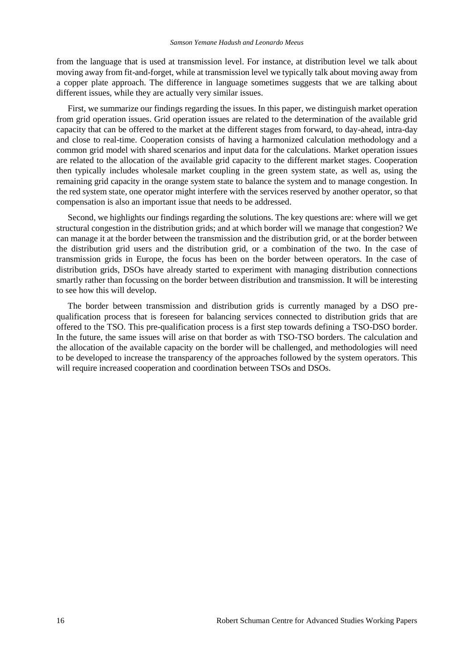from the language that is used at transmission level. For instance, at distribution level we talk about moving away from fit-and-forget, while at transmission level we typically talk about moving away from a copper plate approach. The difference in language sometimes suggests that we are talking about different issues, while they are actually very similar issues.

First, we summarize our findings regarding the issues. In this paper, we distinguish market operation from grid operation issues. Grid operation issues are related to the determination of the available grid capacity that can be offered to the market at the different stages from forward, to day-ahead, intra-day and close to real-time. Cooperation consists of having a harmonized calculation methodology and a common grid model with shared scenarios and input data for the calculations. Market operation issues are related to the allocation of the available grid capacity to the different market stages. Cooperation then typically includes wholesale market coupling in the green system state, as well as, using the remaining grid capacity in the orange system state to balance the system and to manage congestion. In the red system state, one operator might interfere with the services reserved by another operator, so that compensation is also an important issue that needs to be addressed.

Second, we highlights our findings regarding the solutions. The key questions are: where will we get structural congestion in the distribution grids; and at which border will we manage that congestion? We can manage it at the border between the transmission and the distribution grid, or at the border between the distribution grid users and the distribution grid, or a combination of the two. In the case of transmission grids in Europe, the focus has been on the border between operators. In the case of distribution grids, DSOs have already started to experiment with managing distribution connections smartly rather than focussing on the border between distribution and transmission. It will be interesting to see how this will develop.

The border between transmission and distribution grids is currently managed by a DSO prequalification process that is foreseen for balancing services connected to distribution grids that are offered to the TSO. This pre-qualification process is a first step towards defining a TSO-DSO border. In the future, the same issues will arise on that border as with TSO-TSO borders. The calculation and the allocation of the available capacity on the border will be challenged, and methodologies will need to be developed to increase the transparency of the approaches followed by the system operators. This will require increased cooperation and coordination between TSOs and DSOs.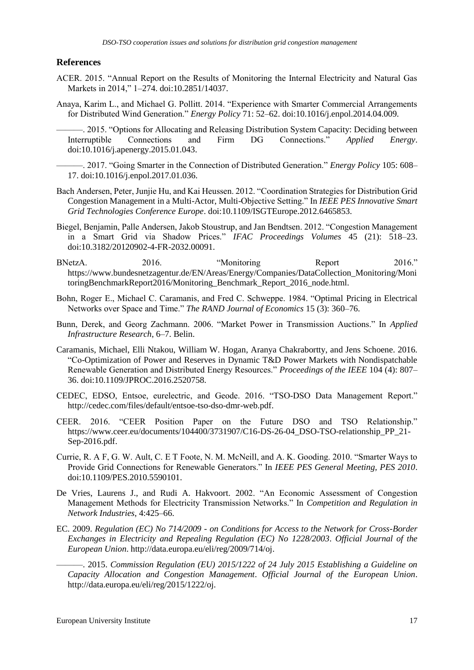## **References**

- ACER. 2015. "Annual Report on the Results of Monitoring the Internal Electricity and Natural Gas Markets in 2014," 1-274. doi:10.2851/14037.
- Anaya, Karim L., and Michael G. Pollitt. 2014. "Experience with Smarter Commercial Arrangements for Distributed Wind Generation." *Energy Policy* 71: 52–62. doi:10.1016/j.enpol.2014.04.009.
	- ———. 2015. "Options for Allocating and Releasing Distribution System Capacity: Deciding between Interruptible Connections and Firm DG Connections." *Applied Energy*. doi:10.1016/j.apenergy.2015.01.043.
	- ———. 2017. "Going Smarter in the Connection of Distributed Generation." *Energy Policy* 105: 608– 17. doi:10.1016/j.enpol.2017.01.036.
- Bach Andersen, Peter, Junjie Hu, and Kai Heussen. 2012. "Coordination Strategies for Distribution Grid Congestion Management in a Multi-Actor, Multi-Objective Setting." In *IEEE PES Innovative Smart Grid Technologies Conference Europe*. doi:10.1109/ISGTEurope.2012.6465853.
- Biegel, Benjamin, Palle Andersen, Jakob Stoustrup, and Jan Bendtsen. 2012. "Congestion Management in a Smart Grid via Shadow Prices." *IFAC Proceedings Volumes* 45 (21): 518–23. doi:10.3182/20120902-4-FR-2032.00091.
- BNetzA. 2016. "Monitoring Report 2016." https://www.bundesnetzagentur.de/EN/Areas/Energy/Companies/DataCollection\_Monitoring/Moni toringBenchmarkReport2016/Monitoring\_Benchmark\_Report\_2016\_node.html.
- Bohn, Roger E., Michael C. Caramanis, and Fred C. Schweppe. 1984. "Optimal Pricing in Electrical Networks over Space and Time." *The RAND Journal of Economics* 15 (3): 360–76.
- Bunn, Derek, and Georg Zachmann. 2006. "Market Power in Transmission Auctions." In *Applied Infrastructure Research*, 6–7. Belin.
- Caramanis, Michael, Elli Ntakou, William W. Hogan, Aranya Chakrabortty, and Jens Schoene. 2016. "Co-Optimization of Power and Reserves in Dynamic T&D Power Markets with Nondispatchable Renewable Generation and Distributed Energy Resources." *Proceedings of the IEEE* 104 (4): 807– 36. doi:10.1109/JPROC.2016.2520758.
- CEDEC, EDSO, Entsoe, eurelectric, and Geode. 2016. "TSO-DSO Data Management Report." http://cedec.com/files/default/entsoe-tso-dso-dmr-web.pdf.
- CEER. 2016. "CEER Position Paper on the Future DSO and TSO Relationship." https://www.ceer.eu/documents/104400/3731907/C16-DS-26-04\_DSO-TSO-relationship\_PP\_21- Sep-2016.pdf.
- Currie, R. A F, G. W. Ault, C. E T Foote, N. M. McNeill, and A. K. Gooding. 2010. "Smarter Ways to Provide Grid Connections for Renewable Generators." In *IEEE PES General Meeting, PES 2010*. doi:10.1109/PES.2010.5590101.
- De Vries, Laurens J., and Rudi A. Hakvoort. 2002. "An Economic Assessment of Congestion Management Methods for Electricity Transmission Networks." In *Competition and Regulation in Network Industries*, 4:425–66.
- EC. 2009. *Regulation (EC) No 714/2009 - on Conditions for Access to the Network for Cross-Border Exchanges in Electricity and Repealing Regulation (EC) No 1228/2003*. *Official Journal of the European Union*. [http://data.europa.eu/eli/reg/2009/714/oj.](http://data.europa.eu/eli/reg/2009/714/oj)

———. 2015. *Commission Regulation (EU) 2015/1222 of 24 July 2015 Establishing a Guideline on Capacity Allocation and Congestion Management*. *Official Journal of the European Union*. http://data.europa.eu/eli/reg/2015/1222/oj.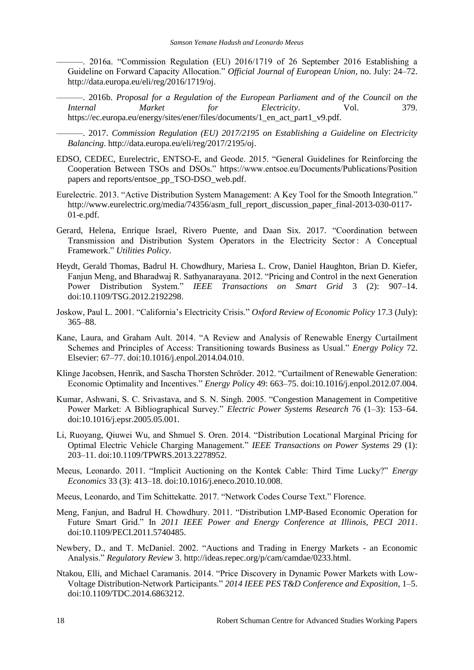———. 2016a. "Commission Regulation (EU) 2016/1719 of 26 September 2016 Establishing a Guideline on Forward Capacity Allocation." *Official Journal of European Union*, no. July: 24–72. http://data.europa.eu/eli/reg/2016/1719/oj.

- ———. 2016b. *Proposal for a Regulation of the European Parliament and of the Council on the Internal Market for Electricity*. Vol. 379. https://ec.europa.eu/energy/sites/ener/files/documents/1\_en\_act\_part1\_v9.pdf.
- ———. 2017. *Commission Regulation (EU) 2017/2195 on Establishing a Guideline on Electricity Balancing*. http://data.europa.eu/eli/reg/2017/2195/oj.
- EDSO, CEDEC, Eurelectric, ENTSO-E, and Geode. 2015. "General Guidelines for Reinforcing the Cooperation Between TSOs and DSOs." https://www.entsoe.eu/Documents/Publications/Position papers and reports/entsoe\_pp\_TSO-DSO\_web.pdf.
- Eurelectric. 2013. "Active Distribution System Management: A Key Tool for the Smooth Integration." http://www.eurelectric.org/media/74356/asm\_full\_report\_discussion\_paper\_final-2013-030-0117- 01-e.pdf.
- Gerard, Helena, Enrique Israel, Rivero Puente, and Daan Six. 2017. "Coordination between Transmission and Distribution System Operators in the Electricity Sector : A Conceptual Framework." *Utilities Policy*.
- Heydt, Gerald Thomas, Badrul H. Chowdhury, Mariesa L. Crow, Daniel Haughton, Brian D. Kiefer, Fanjun Meng, and Bharadwaj R. Sathyanarayana. 2012. "Pricing and Control in the next Generation Power Distribution System." *IEEE Transactions on Smart Grid* 3 (2): 907–14. doi:10.1109/TSG.2012.2192298.
- Joskow, Paul L. 2001. "California's Electricity Crisis." *Oxford Review of Economic Policy* 17.3 (July): 365–88.
- Kane, Laura, and Graham Ault. 2014. "A Review and Analysis of Renewable Energy Curtailment Schemes and Principles of Access: Transitioning towards Business as Usual." *Energy Policy* 72. Elsevier: 67–77. doi:10.1016/j.enpol.2014.04.010.
- Klinge Jacobsen, Henrik, and Sascha Thorsten Schröder. 2012. "Curtailment of Renewable Generation: Economic Optimality and Incentives." *Energy Policy* 49: 663–75. doi:10.1016/j.enpol.2012.07.004.
- Kumar, Ashwani, S. C. Srivastava, and S. N. Singh. 2005. "Congestion Management in Competitive Power Market: A Bibliographical Survey." *Electric Power Systems Research* 76 (1–3): 153–64. doi:10.1016/j.epsr.2005.05.001.
- Li, Ruoyang, Qiuwei Wu, and Shmuel S. Oren. 2014. "Distribution Locational Marginal Pricing for Optimal Electric Vehicle Charging Management." *IEEE Transactions on Power Systems* 29 (1): 203–11. doi:10.1109/TPWRS.2013.2278952.
- Meeus, Leonardo. 2011. "Implicit Auctioning on the Kontek Cable: Third Time Lucky?" *Energy Economics* 33 (3): 413–18. doi:10.1016/j.eneco.2010.10.008.
- Meeus, Leonardo, and Tim Schittekatte. 2017. "Network Codes Course Text." Florence.
- Meng, Fanjun, and Badrul H. Chowdhury. 2011. "Distribution LMP-Based Economic Operation for Future Smart Grid." In *2011 IEEE Power and Energy Conference at Illinois, PECI 2011*. doi:10.1109/PECI.2011.5740485.
- Newbery, D., and T. McDaniel. 2002. "Auctions and Trading in Energy Markets an Economic Analysis." *Regulatory Review* 3. http://ideas.repec.org/p/cam/camdae/0233.html.
- Ntakou, Elli, and Michael Caramanis. 2014. "Price Discovery in Dynamic Power Markets with Low-Voltage Distribution-Network Participants." *2014 IEEE PES T&D Conference and Exposition*, 1–5. doi:10.1109/TDC.2014.6863212.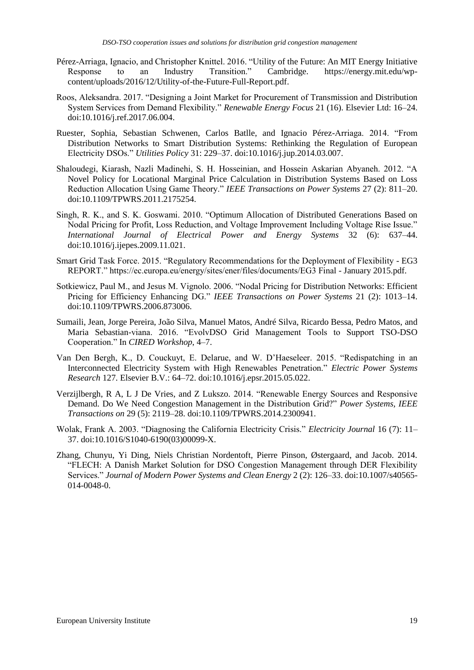- Pérez-Arriaga, Ignacio, and Christopher Knittel. 2016. "Utility of the Future: An MIT Energy Initiative Response to an Industry Transition." Cambridge. https://energy.mit.edu/wpcontent/uploads/2016/12/Utility-of-the-Future-Full-Report.pdf.
- Roos, Aleksandra. 2017. "Designing a Joint Market for Procurement of Transmission and Distribution System Services from Demand Flexibility." *Renewable Energy Focus* 21 (16). Elsevier Ltd: 16–24. doi:10.1016/j.ref.2017.06.004.
- Ruester, Sophia, Sebastian Schwenen, Carlos Batlle, and Ignacio Pérez-Arriaga. 2014. "From Distribution Networks to Smart Distribution Systems: Rethinking the Regulation of European Electricity DSOs." *Utilities Policy* 31: 229–37. doi:10.1016/j.jup.2014.03.007.
- Shaloudegi, Kiarash, Nazli Madinehi, S. H. Hosseinian, and Hossein Askarian Abyaneh. 2012. "A Novel Policy for Locational Marginal Price Calculation in Distribution Systems Based on Loss Reduction Allocation Using Game Theory." *IEEE Transactions on Power Systems* 27 (2): 811–20. doi:10.1109/TPWRS.2011.2175254.
- Singh, R. K., and S. K. Goswami. 2010. "Optimum Allocation of Distributed Generations Based on Nodal Pricing for Profit, Loss Reduction, and Voltage Improvement Including Voltage Rise Issue." *International Journal of Electrical Power and Energy Systems* 32 (6): 637–44. doi:10.1016/j.ijepes.2009.11.021.
- Smart Grid Task Force. 2015. "Regulatory Recommendations for the Deployment of Flexibility EG3 REPORT." https://ec.europa.eu/energy/sites/ener/files/documents/EG3 Final - January 2015.pdf.
- Sotkiewicz, Paul M., and Jesus M. Vignolo. 2006. "Nodal Pricing for Distribution Networks: Efficient Pricing for Efficiency Enhancing DG." *IEEE Transactions on Power Systems* 21 (2): 1013–14. doi:10.1109/TPWRS.2006.873006.
- Sumaili, Jean, Jorge Pereira, João Silva, Manuel Matos, André Silva, Ricardo Bessa, Pedro Matos, and Maria Sebastian-viana. 2016. "EvolvDSO Grid Management Tools to Support TSO-DSO Cooperation." In *CIRED Workshop*, 4–7.
- Van Den Bergh, K., D. Couckuyt, E. Delarue, and W. D'Haeseleer. 2015. "Redispatching in an Interconnected Electricity System with High Renewables Penetration." *Electric Power Systems Research* 127. Elsevier B.V.: 64–72. doi:10.1016/j.epsr.2015.05.022.
- Verzijlbergh, R A, L J De Vries, and Z Lukszo. 2014. "Renewable Energy Sources and Responsive Demand. Do We Need Congestion Management in the Distribution Grid?" *Power Systems, IEEE Transactions on* 29 (5): 2119–28. doi:10.1109/TPWRS.2014.2300941.
- Wolak, Frank A. 2003. "Diagnosing the California Electricity Crisis." *Electricity Journal* 16 (7): 11– 37. doi:10.1016/S1040-6190(03)00099-X.
- Zhang, Chunyu, Yi Ding, Niels Christian Nordentoft, Pierre Pinson, Østergaard, and Jacob. 2014. "FLECH: A Danish Market Solution for DSO Congestion Management through DER Flexibility Services." *Journal of Modern Power Systems and Clean Energy* 2 (2): 126–33. doi:10.1007/s40565- 014-0048-0.